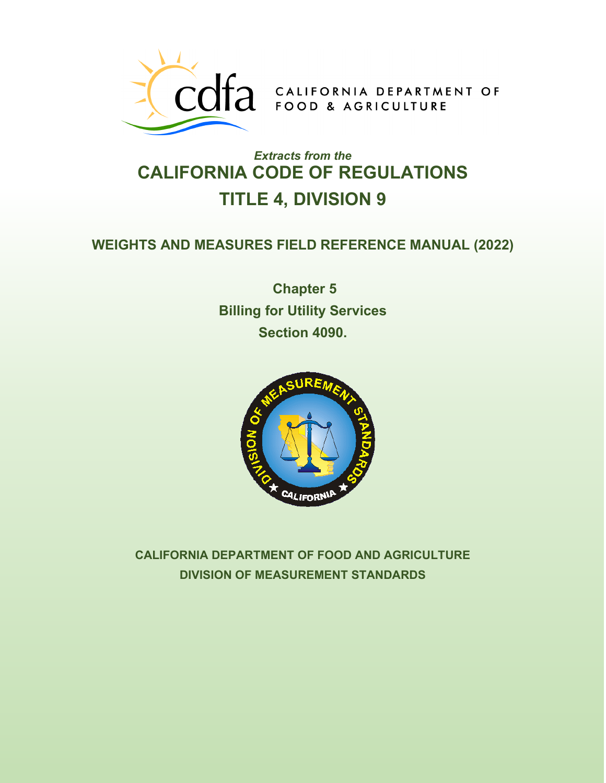

# *Extracts from the* **CALIFORNIA CODE OF REGULATIONS TITLE 4, DIVISION 9**

### **WEIGHTS AND MEASURES FIELD REFERENCE MANUAL (2022)**

**Chapter 5 Billing for Utility Services Section 4090.**



**CALIFORNIA DEPARTMENT OF FOOD AND AGRICULTURE DIVISION OF MEASUREMENT STANDARDS**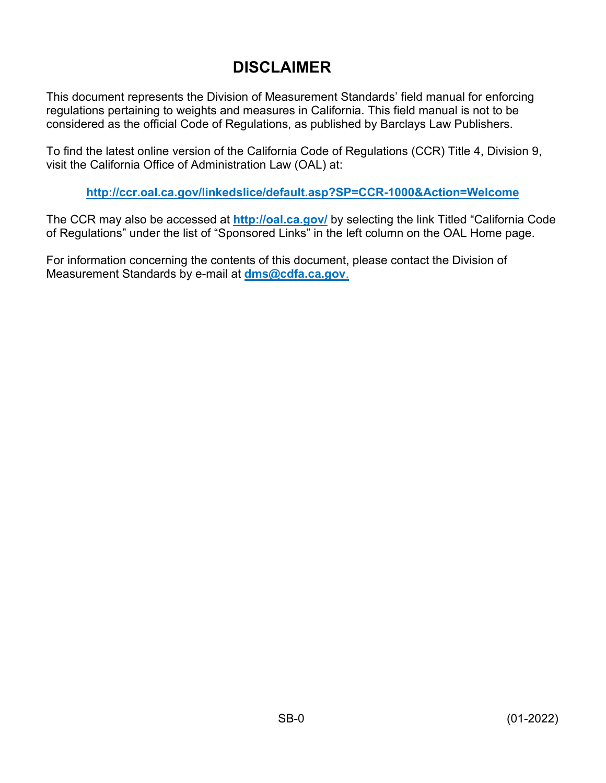## **DISCLAIMER**

This document represents the Division of Measurement Standards' field manual for enforcing regulations pertaining to weights and measures in California. This field manual is not to be considered as the official Code of Regulations, as published by Barclays Law Publishers.

To find the latest online version of the California Code of Regulations (CCR) Title 4, Division 9, visit the California Office of Administration Law (OAL) at:

**<http://ccr.oal.ca.gov/linkedslice/default.asp?SP=CCR-1000&Action=Welcome>**

The CCR may also be accessed at **<http://oal.ca.gov/>** by selecting the link Titled "California Code of Regulations" under the list of "Sponsored Links" in the left column on the OAL Home page.

For information concerning the contents of this document, please contact the Division of Measurement Standards by e-mail at **[dms@cdfa.ca.gov](mailto:dms@cdfa.ca.gov)**.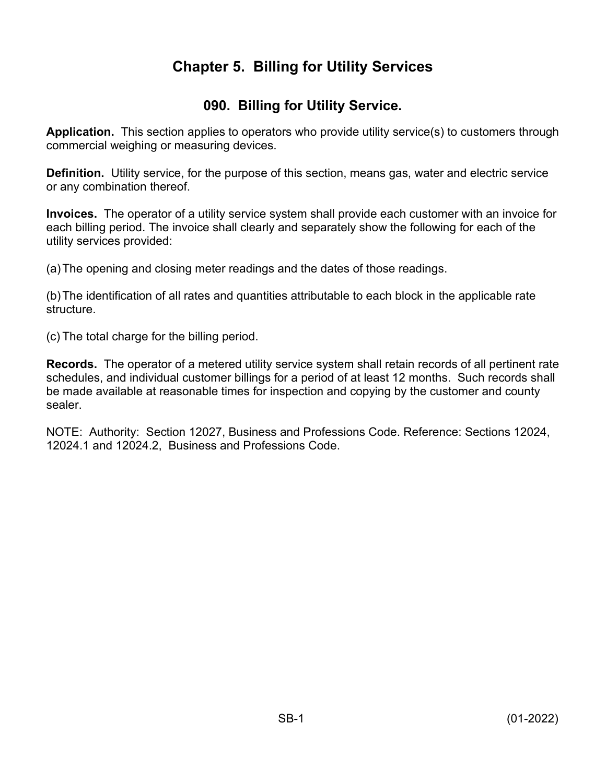### **Chapter 5. Billing for Utility Services**

#### **090. Billing for Utility Service.**

**Application.** This section applies to operators who provide utility service(s) to customers through commercial weighing or measuring devices.

**Definition.** Utility service, for the purpose of this section, means gas, water and electric service or any combination thereof.

**Invoices.** The operator of a utility service system shall provide each customer with an invoice for each billing period. The invoice shall clearly and separately show the following for each of the utility services provided:

(a)The opening and closing meter readings and the dates of those readings.

(b)The identification of all rates and quantities attributable to each block in the applicable rate structure.

(c) The total charge for the billing period.

**Records.** The operator of a metered utility service system shall retain records of all pertinent rate schedules, and individual customer billings for a period of at least 12 months. Such records shall be made available at reasonable times for inspection and copying by the customer and county sealer.

NOTE: Authority: Section 12027, Business and Professions Code. Reference: Sections 12024, 12024.1 and 12024.2, Business and Professions Code.